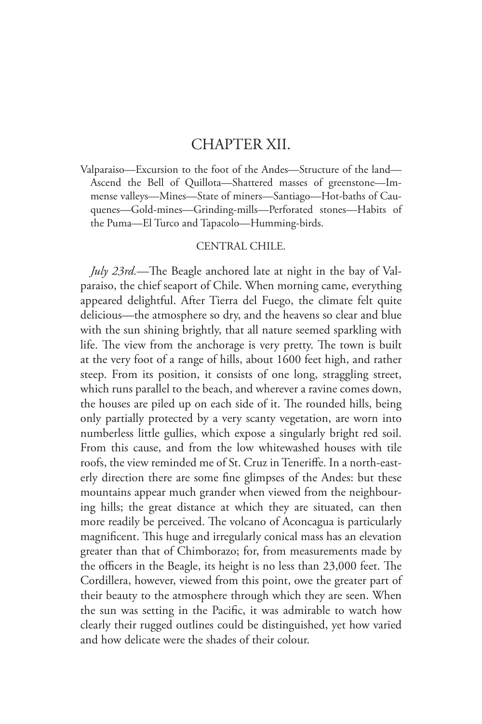## CHAPTER XII.

Valparaiso—Excursion to the foot of the Andes—Structure of the land— Ascend the Bell of Quillota—Shattered masses of greenstone—Immense valleys—Mines—State of miners—Santiago—Hot-baths of Cauquenes—Gold-mines—Grinding-mills—Perforated stones—Habits of the Puma—El Turco and Tapacolo—Humming-birds.

## CENTRAL CHILE.

*July 23rd.*—The Beagle anchored late at night in the bay of Valparaiso, the chief seaport of Chile. When morning came, everything appeared delightful. After Tierra del Fuego, the climate felt quite delicious—the atmosphere so dry, and the heavens so clear and blue with the sun shining brightly, that all nature seemed sparkling with life. The view from the anchorage is very pretty. The town is built at the very foot of a range of hills, about 1600 feet high, and rather steep. From its position, it consists of one long, straggling street, which runs parallel to the beach, and wherever a ravine comes down, the houses are piled up on each side of it. The rounded hills, being only partially protected by a very scanty vegetation, are worn into numberless little gullies, which expose a singularly bright red soil. From this cause, and from the low whitewashed houses with tile roofs, the view reminded me of St. Cruz in Teneriffe. In a north-easterly direction there are some fine glimpses of the Andes: but these mountains appear much grander when viewed from the neighbouring hills; the great distance at which they are situated, can then more readily be perceived. The volcano of Aconcagua is particularly magnificent. This huge and irregularly conical mass has an elevation greater than that of Chimborazo; for, from measurements made by the officers in the Beagle, its height is no less than 23,000 feet. The Cordillera, however, viewed from this point, owe the greater part of their beauty to the atmosphere through which they are seen. When the sun was setting in the Pacific, it was admirable to watch how clearly their rugged outlines could be distinguished, yet how varied and how delicate were the shades of their colour.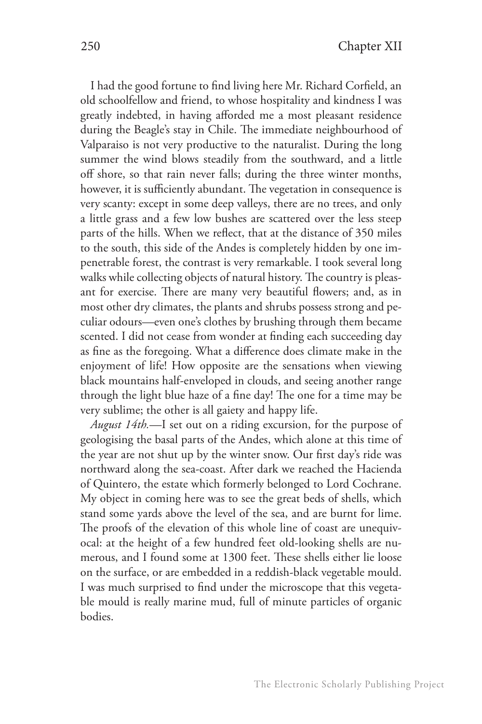I had the good fortune to find living here Mr. Richard Corfield, an old schoolfellow and friend, to whose hospitality and kindness I was greatly indebted, in having afforded me a most pleasant residence during the Beagle's stay in Chile. The immediate neighbourhood of Valparaiso is not very productive to the naturalist. During the long summer the wind blows steadily from the southward, and a little off shore, so that rain never falls; during the three winter months, however, it is sufficiently abundant. The vegetation in consequence is very scanty: except in some deep valleys, there are no trees, and only a little grass and a few low bushes are scattered over the less steep parts of the hills. When we reflect, that at the distance of 350 miles to the south, this side of the Andes is completely hidden by one impenetrable forest, the contrast is very remarkable. I took several long walks while collecting objects of natural history. The country is pleasant for exercise. There are many very beautiful flowers; and, as in most other dry climates, the plants and shrubs possess strong and peculiar odours—even one's clothes by brushing through them became scented. I did not cease from wonder at finding each succeeding day as fine as the foregoing. What a difference does climate make in the enjoyment of life! How opposite are the sensations when viewing black mountains half-enveloped in clouds, and seeing another range through the light blue haze of a fine day! The one for a time may be very sublime; the other is all gaiety and happy life.

*August 14th.*—I set out on a riding excursion, for the purpose of geologising the basal parts of the Andes, which alone at this time of the year are not shut up by the winter snow. Our first day's ride was northward along the sea-coast. After dark we reached the Hacienda of Quintero, the estate which formerly belonged to Lord Cochrane. My object in coming here was to see the great beds of shells, which stand some yards above the level of the sea, and are burnt for lime. The proofs of the elevation of this whole line of coast are unequivocal: at the height of a few hundred feet old-looking shells are numerous, and I found some at 1300 feet. These shells either lie loose on the surface, or are embedded in a reddish-black vegetable mould. I was much surprised to find under the microscope that this vegetable mould is really marine mud, full of minute particles of organic bodies.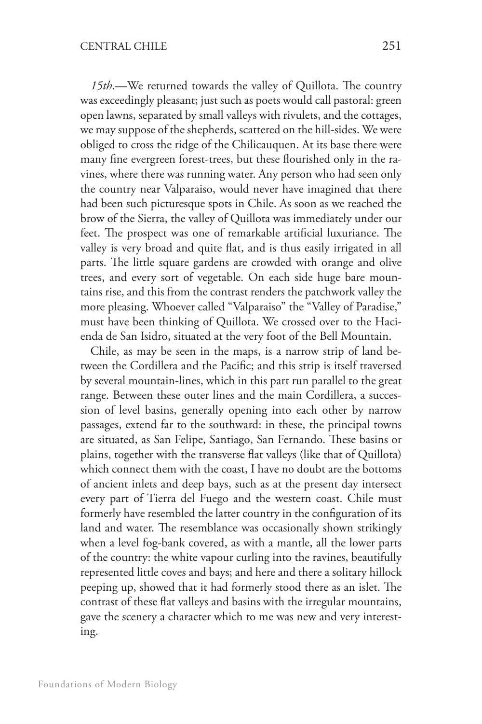*15th*.—We returned towards the valley of Quillota. The country was exceedingly pleasant; just such as poets would call pastoral: green open lawns, separated by small valleys with rivulets, and the cottages, we may suppose of the shepherds, scattered on the hill-sides. We were obliged to cross the ridge of the Chilicauquen. At its base there were many fine evergreen forest-trees, but these flourished only in the ravines, where there was running water. Any person who had seen only the country near Valparaiso, would never have imagined that there had been such picturesque spots in Chile. As soon as we reached the brow of the Sierra, the valley of Quillota was immediately under our feet. The prospect was one of remarkable artificial luxuriance. The valley is very broad and quite flat, and is thus easily irrigated in all parts. The little square gardens are crowded with orange and olive trees, and every sort of vegetable. On each side huge bare mountains rise, and this from the contrast renders the patchwork valley the more pleasing. Whoever called "Valparaiso" the "Valley of Paradise," must have been thinking of Quillota. We crossed over to the Hacienda de San Isidro, situated at the very foot of the Bell Mountain.

Chile, as may be seen in the maps, is a narrow strip of land between the Cordillera and the Pacific; and this strip is itself traversed by several mountain-lines, which in this part run parallel to the great range. Between these outer lines and the main Cordillera, a succession of level basins, generally opening into each other by narrow passages, extend far to the southward: in these, the principal towns are situated, as San Felipe, Santiago, San Fernando. These basins or plains, together with the transverse flat valleys (like that of Quillota) which connect them with the coast, I have no doubt are the bottoms of ancient inlets and deep bays, such as at the present day intersect every part of Tierra del Fuego and the western coast. Chile must formerly have resembled the latter country in the configuration of its land and water. The resemblance was occasionally shown strikingly when a level fog-bank covered, as with a mantle, all the lower parts of the country: the white vapour curling into the ravines, beautifully represented little coves and bays; and here and there a solitary hillock peeping up, showed that it had formerly stood there as an islet. The contrast of these flat valleys and basins with the irregular mountains, gave the scenery a character which to me was new and very interesting.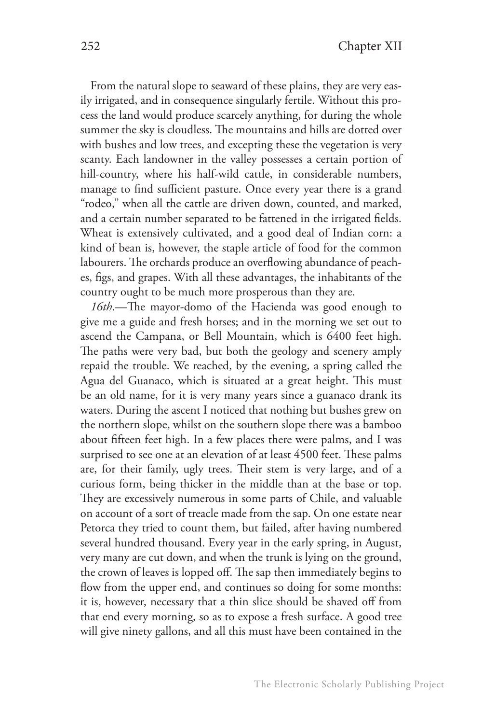From the natural slope to seaward of these plains, they are very easily irrigated, and in consequence singularly fertile. Without this process the land would produce scarcely anything, for during the whole summer the sky is cloudless. The mountains and hills are dotted over with bushes and low trees, and excepting these the vegetation is very scanty. Each landowner in the valley possesses a certain portion of hill-country, where his half-wild cattle, in considerable numbers, manage to find sufficient pasture. Once every year there is a grand "rodeo," when all the cattle are driven down, counted, and marked, and a certain number separated to be fattened in the irrigated fields. Wheat is extensively cultivated, and a good deal of Indian corn: a kind of bean is, however, the staple article of food for the common labourers. The orchards produce an overflowing abundance of peaches, figs, and grapes. With all these advantages, the inhabitants of the country ought to be much more prosperous than they are.

*16th*.—The mayor-domo of the Hacienda was good enough to give me a guide and fresh horses; and in the morning we set out to ascend the Campana, or Bell Mountain, which is 6400 feet high. The paths were very bad, but both the geology and scenery amply repaid the trouble. We reached, by the evening, a spring called the Agua del Guanaco, which is situated at a great height. This must be an old name, for it is very many years since a guanaco drank its waters. During the ascent I noticed that nothing but bushes grew on the northern slope, whilst on the southern slope there was a bamboo about fifteen feet high. In a few places there were palms, and I was surprised to see one at an elevation of at least 4500 feet. These palms are, for their family, ugly trees. Their stem is very large, and of a curious form, being thicker in the middle than at the base or top. They are excessively numerous in some parts of Chile, and valuable on account of a sort of treacle made from the sap. On one estate near Petorca they tried to count them, but failed, after having numbered several hundred thousand. Every year in the early spring, in August, very many are cut down, and when the trunk is lying on the ground, the crown of leaves is lopped off. The sap then immediately begins to flow from the upper end, and continues so doing for some months: it is, however, necessary that a thin slice should be shaved off from that end every morning, so as to expose a fresh surface. A good tree will give ninety gallons, and all this must have been contained in the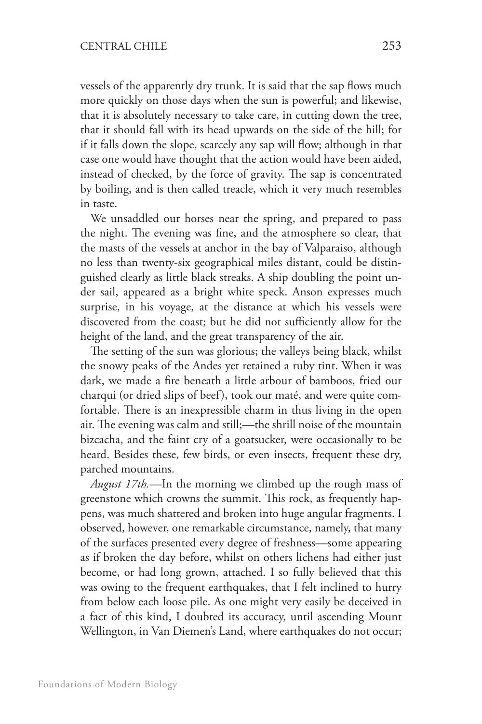vessels of the apparently dry trunk. It is said that the sap flows much more quickly on those days when the sun is powerful; and likewise, that it is absolutely necessary to take care, in cutting down the tree, that it should fall with its head upwards on the side of the hill; for if it falls down the slope, scarcely any sap will flow; although in that case one would have thought that the action would have been aided, instead of checked, by the force of gravity. The sap is concentrated by boiling, and is then called treacle, which it very much resembles in taste.

We unsaddled our horses near the spring, and prepared to pass the night. The evening was fine, and the atmosphere so clear, that the masts of the vessels at anchor in the bay of Valparaiso, although no less than twenty-six geographical miles distant, could be distinguished clearly as little black streaks. A ship doubling the point under sail, appeared as a bright white speck. Anson expresses much surprise, in his voyage, at the distance at which his vessels were discovered from the coast; but he did not sufficiently allow for the height of the land, and the great transparency of the air.

The setting of the sun was glorious; the valleys being black, whilst the snowy peaks of the Andes yet retained a ruby tint. When it was dark, we made a fire beneath a little arbour of bamboos, fried our charqui (or dried slips of beef), took our maté, and were quite comfortable. There is an inexpressible charm in thus living in the open air. The evening was calm and still;—the shrill noise of the mountain bizcacha, and the faint cry of a goatsucker, were occasionally to be heard. Besides these, few birds, or even insects, frequent these dry, parched mountains.

*August 17th.*—In the morning we climbed up the rough mass of greenstone which crowns the summit. This rock, as frequently happens, was much shattered and broken into huge angular fragments. I observed, however, one remarkable circumstance, namely, that many of the surfaces presented every degree of freshness—some appearing as if broken the day before, whilst on others lichens had either just become, or had long grown, attached. I so fully believed that this was owing to the frequent earthquakes, that I felt inclined to hurry from below each loose pile. As one might very easily be deceived in a fact of this kind, I doubted its accuracy, until ascending Mount Wellington, in Van Diemen's Land, where earthquakes do not occur;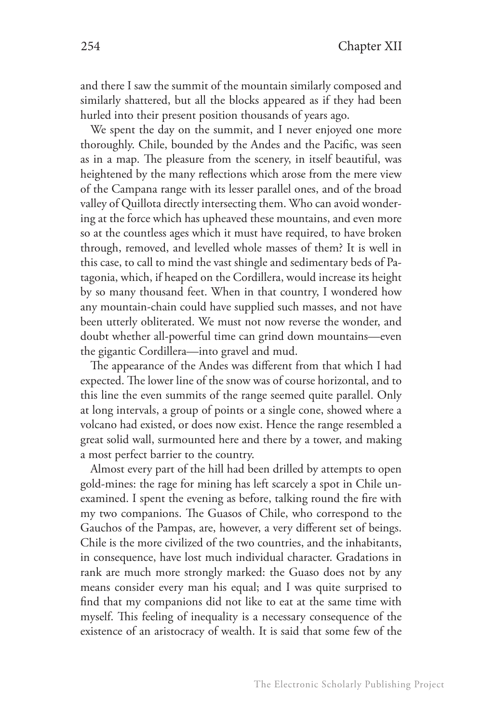and there I saw the summit of the mountain similarly composed and similarly shattered, but all the blocks appeared as if they had been hurled into their present position thousands of years ago.

We spent the day on the summit, and I never enjoyed one more thoroughly. Chile, bounded by the Andes and the Pacific, was seen as in a map. The pleasure from the scenery, in itself beautiful, was heightened by the many reflections which arose from the mere view of the Campana range with its lesser parallel ones, and of the broad valley of Quillota directly intersecting them. Who can avoid wondering at the force which has upheaved these mountains, and even more so at the countless ages which it must have required, to have broken through, removed, and levelled whole masses of them? It is well in this case, to call to mind the vast shingle and sedimentary beds of Patagonia, which, if heaped on the Cordillera, would increase its height by so many thousand feet. When in that country, I wondered how any mountain-chain could have supplied such masses, and not have been utterly obliterated. We must not now reverse the wonder, and doubt whether all-powerful time can grind down mountains—even the gigantic Cordillera—into gravel and mud.

The appearance of the Andes was different from that which I had expected. The lower line of the snow was of course horizontal, and to this line the even summits of the range seemed quite parallel. Only at long intervals, a group of points or a single cone, showed where a volcano had existed, or does now exist. Hence the range resembled a great solid wall, surmounted here and there by a tower, and making a most perfect barrier to the country.

Almost every part of the hill had been drilled by attempts to open gold-mines: the rage for mining has left scarcely a spot in Chile unexamined. I spent the evening as before, talking round the fire with my two companions. The Guasos of Chile, who correspond to the Gauchos of the Pampas, are, however, a very different set of beings. Chile is the more civilized of the two countries, and the inhabitants, in consequence, have lost much individual character. Gradations in rank are much more strongly marked: the Guaso does not by any means consider every man his equal; and I was quite surprised to find that my companions did not like to eat at the same time with myself. This feeling of inequality is a necessary consequence of the existence of an aristocracy of wealth. It is said that some few of the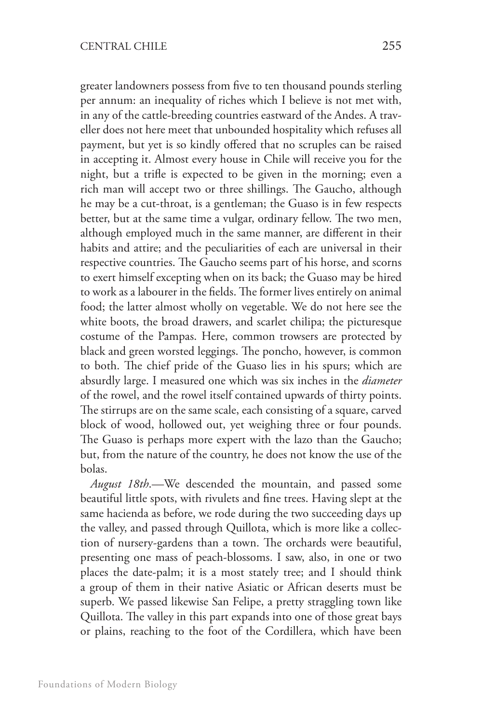greater landowners possess from five to ten thousand pounds sterling per annum: an inequality of riches which I believe is not met with, in any of the cattle-breeding countries eastward of the Andes. A traveller does not here meet that unbounded hospitality which refuses all payment, but yet is so kindly offered that no scruples can be raised in accepting it. Almost every house in Chile will receive you for the night, but a trifle is expected to be given in the morning; even a rich man will accept two or three shillings. The Gaucho, although he may be a cut-throat, is a gentleman; the Guaso is in few respects better, but at the same time a vulgar, ordinary fellow. The two men, although employed much in the same manner, are different in their habits and attire; and the peculiarities of each are universal in their respective countries. The Gaucho seems part of his horse, and scorns to exert himself excepting when on its back; the Guaso may be hired to work as a labourer in the fields. The former lives entirely on animal food; the latter almost wholly on vegetable. We do not here see the white boots, the broad drawers, and scarlet chilipa; the picturesque costume of the Pampas. Here, common trowsers are protected by black and green worsted leggings. The poncho, however, is common to both. The chief pride of the Guaso lies in his spurs; which are absurdly large. I measured one which was six inches in the *diameter*  of the rowel, and the rowel itself contained upwards of thirty points. The stirrups are on the same scale, each consisting of a square, carved block of wood, hollowed out, yet weighing three or four pounds. The Guaso is perhaps more expert with the lazo than the Gaucho; but, from the nature of the country, he does not know the use of the bolas.

*August 18th*.—We descended the mountain, and passed some beautiful little spots, with rivulets and fine trees. Having slept at the same hacienda as before, we rode during the two succeeding days up the valley, and passed through Quillota, which is more like a collection of nursery-gardens than a town. The orchards were beautiful, presenting one mass of peach-blossoms. I saw, also, in one or two places the date-palm; it is a most stately tree; and I should think a group of them in their native Asiatic or African deserts must be superb. We passed likewise San Felipe, a pretty straggling town like Quillota. The valley in this part expands into one of those great bays or plains, reaching to the foot of the Cordillera, which have been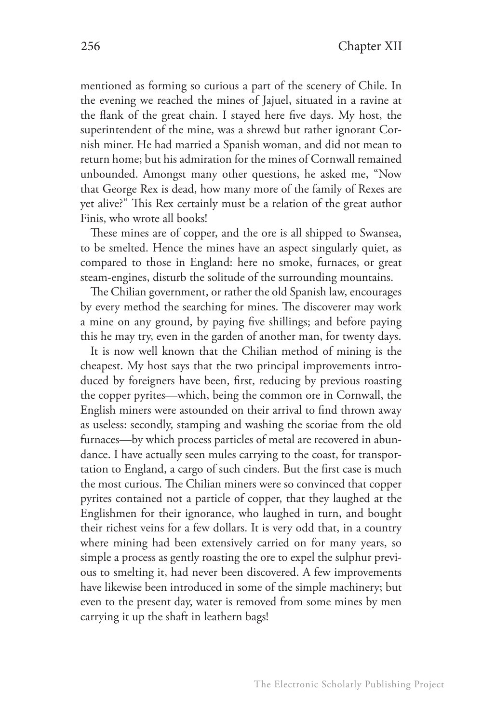mentioned as forming so curious a part of the scenery of Chile. In the evening we reached the mines of Jajuel, situated in a ravine at the flank of the great chain. I stayed here five days. My host, the superintendent of the mine, was a shrewd but rather ignorant Cornish miner. He had married a Spanish woman, and did not mean to return home; but his admiration for the mines of Cornwall remained unbounded. Amongst many other questions, he asked me, "Now that George Rex is dead, how many more of the family of Rexes are yet alive?" This Rex certainly must be a relation of the great author Finis, who wrote all books!

These mines are of copper, and the ore is all shipped to Swansea, to be smelted. Hence the mines have an aspect singularly quiet, as compared to those in England: here no smoke, furnaces, or great steam-engines, disturb the solitude of the surrounding mountains.

The Chilian government, or rather the old Spanish law, encourages by every method the searching for mines. The discoverer may work a mine on any ground, by paying five shillings; and before paying this he may try, even in the garden of another man, for twenty days.

It is now well known that the Chilian method of mining is the cheapest. My host says that the two principal improvements introduced by foreigners have been, first, reducing by previous roasting the copper pyrites—which, being the common ore in Cornwall, the English miners were astounded on their arrival to find thrown away as useless: secondly, stamping and washing the scoriae from the old furnaces—by which process particles of metal are recovered in abundance. I have actually seen mules carrying to the coast, for transportation to England, a cargo of such cinders. But the first case is much the most curious. The Chilian miners were so convinced that copper pyrites contained not a particle of copper, that they laughed at the Englishmen for their ignorance, who laughed in turn, and bought their richest veins for a few dollars. It is very odd that, in a country where mining had been extensively carried on for many years, so simple a process as gently roasting the ore to expel the sulphur previous to smelting it, had never been discovered. A few improvements have likewise been introduced in some of the simple machinery; but even to the present day, water is removed from some mines by men carrying it up the shaft in leathern bags!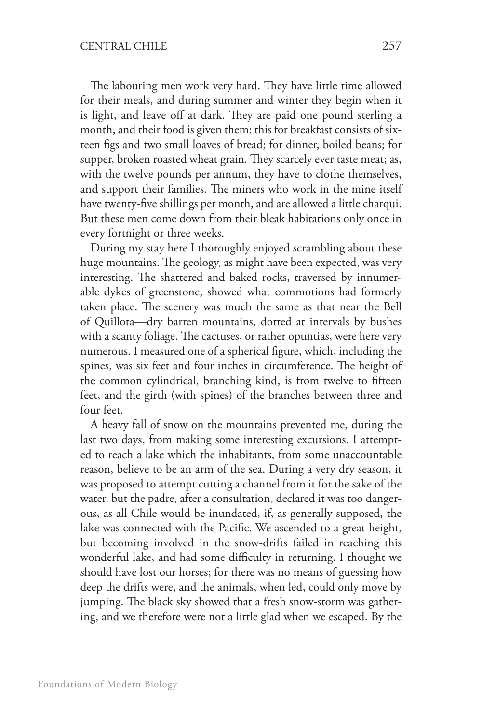The labouring men work very hard. They have little time allowed for their meals, and during summer and winter they begin when it is light, and leave off at dark. They are paid one pound sterling a month, and their food is given them: this for breakfast consists of sixteen figs and two small loaves of bread; for dinner, boiled beans; for supper, broken roasted wheat grain. They scarcely ever taste meat; as, with the twelve pounds per annum, they have to clothe themselves, and support their families. The miners who work in the mine itself have twenty-five shillings per month, and are allowed a little charqui. But these men come down from their bleak habitations only once in every fortnight or three weeks.

During my stay here I thoroughly enjoyed scrambling about these huge mountains. The geology, as might have been expected, was very interesting. The shattered and baked rocks, traversed by innumerable dykes of greenstone, showed what commotions had formerly taken place. The scenery was much the same as that near the Bell of Quillota—dry barren mountains, dotted at intervals by bushes with a scanty foliage. The cactuses, or rather opuntias, were here very numerous. I measured one of a spherical figure, which, including the spines, was six feet and four inches in circumference. The height of the common cylindrical, branching kind, is from twelve to fifteen feet, and the girth (with spines) of the branches between three and four feet.

A heavy fall of snow on the mountains prevented me, during the last two days, from making some interesting excursions. I attempted to reach a lake which the inhabitants, from some unaccountable reason, believe to be an arm of the sea. During a very dry season, it was proposed to attempt cutting a channel from it for the sake of the water, but the padre, after a consultation, declared it was too dangerous, as all Chile would be inundated, if, as generally supposed, the lake was connected with the Pacific. We ascended to a great height, but becoming involved in the snow-drifts failed in reaching this wonderful lake, and had some difficulty in returning. I thought we should have lost our horses; for there was no means of guessing how deep the drifts were, and the animals, when led, could only move by jumping. The black sky showed that a fresh snow-storm was gathering, and we therefore were not a little glad when we escaped. By the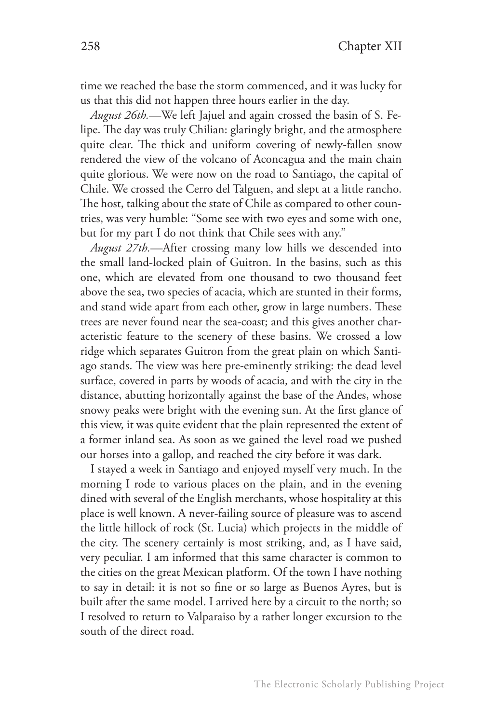time we reached the base the storm commenced, and it was lucky for us that this did not happen three hours earlier in the day.

*August 26th.*—We left Jajuel and again crossed the basin of S. Felipe. The day was truly Chilian: glaringly bright, and the atmosphere quite clear. The thick and uniform covering of newly-fallen snow rendered the view of the volcano of Aconcagua and the main chain quite glorious. We were now on the road to Santiago, the capital of Chile. We crossed the Cerro del Talguen, and slept at a little rancho. The host, talking about the state of Chile as compared to other countries, was very humble: "Some see with two eyes and some with one, but for my part I do not think that Chile sees with any."

*August 27th.*—After crossing many low hills we descended into the small land-locked plain of Guitron. In the basins, such as this one, which are elevated from one thousand to two thousand feet above the sea, two species of acacia, which are stunted in their forms, and stand wide apart from each other, grow in large numbers. These trees are never found near the sea-coast; and this gives another characteristic feature to the scenery of these basins. We crossed a low ridge which separates Guitron from the great plain on which Santiago stands. The view was here pre-eminently striking: the dead level surface, covered in parts by woods of acacia, and with the city in the distance, abutting horizontally against the base of the Andes, whose snowy peaks were bright with the evening sun. At the first glance of this view, it was quite evident that the plain represented the extent of a former inland sea. As soon as we gained the level road we pushed our horses into a gallop, and reached the city before it was dark.

I stayed a week in Santiago and enjoyed myself very much. In the morning I rode to various places on the plain, and in the evening dined with several of the English merchants, whose hospitality at this place is well known. A never-failing source of pleasure was to ascend the little hillock of rock (St. Lucia) which projects in the middle of the city. The scenery certainly is most striking, and, as I have said, very peculiar. I am informed that this same character is common to the cities on the great Mexican platform. Of the town I have nothing to say in detail: it is not so fine or so large as Buenos Ayres, but is built after the same model. I arrived here by a circuit to the north; so I resolved to return to Valparaiso by a rather longer excursion to the south of the direct road.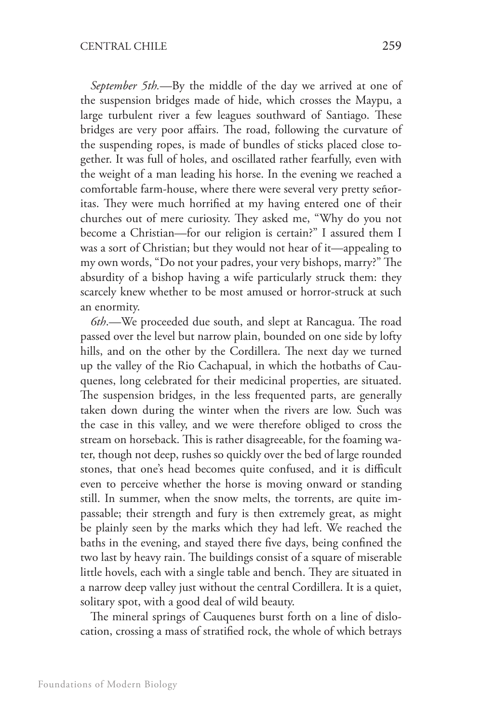*September 5th.*—By the middle of the day we arrived at one of the suspension bridges made of hide, which crosses the Maypu, a large turbulent river a few leagues southward of Santiago. These bridges are very poor affairs. The road, following the curvature of the suspending ropes, is made of bundles of sticks placed close together. It was full of holes, and oscillated rather fearfully, even with the weight of a man leading his horse. In the evening we reached a comfortable farm-house, where there were several very pretty señoritas. They were much horrified at my having entered one of their churches out of mere curiosity. They asked me, "Why do you not become a Christian—for our religion is certain?" I assured them I was a sort of Christian; but they would not hear of it—appealing to my own words, "Do not your padres, your very bishops, marry?" The absurdity of a bishop having a wife particularly struck them: they scarcely knew whether to be most amused or horror-struck at such an enormity.

*6th*.—We proceeded due south, and slept at Rancagua. The road passed over the level but narrow plain, bounded on one side by lofty hills, and on the other by the Cordillera. The next day we turned up the valley of the Rio Cachapual, in which the hotbaths of Cauquenes, long celebrated for their medicinal properties, are situated. The suspension bridges, in the less frequented parts, are generally taken down during the winter when the rivers are low. Such was the case in this valley, and we were therefore obliged to cross the stream on horseback. This is rather disagreeable, for the foaming water, though not deep, rushes so quickly over the bed of large rounded stones, that one's head becomes quite confused, and it is difficult even to perceive whether the horse is moving onward or standing still. In summer, when the snow melts, the torrents, are quite impassable; their strength and fury is then extremely great, as might be plainly seen by the marks which they had left. We reached the baths in the evening, and stayed there five days, being confined the two last by heavy rain. The buildings consist of a square of miserable little hovels, each with a single table and bench. They are situated in a narrow deep valley just without the central Cordillera. It is a quiet, solitary spot, with a good deal of wild beauty.

The mineral springs of Cauquenes burst forth on a line of dislocation, crossing a mass of stratified rock, the whole of which betrays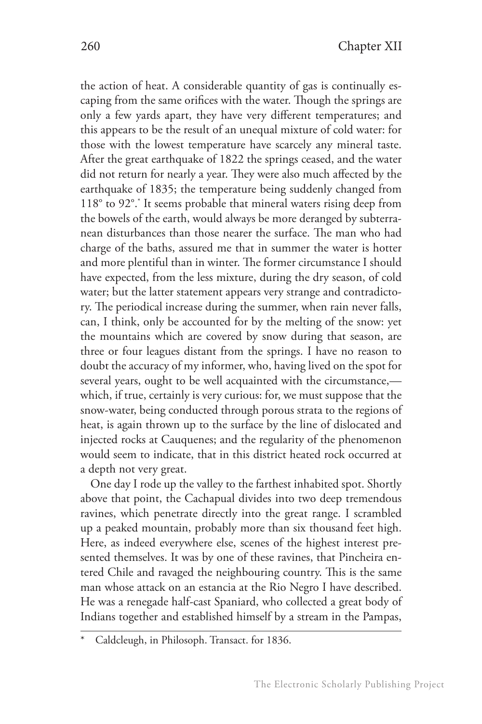the action of heat. A considerable quantity of gas is continually escaping from the same orifices with the water. Though the springs are only a few yards apart, they have very different temperatures; and this appears to be the result of an unequal mixture of cold water: for those with the lowest temperature have scarcely any mineral taste. After the great earthquake of 1822 the springs ceased, and the water did not return for nearly a year. They were also much affected by the earthquake of 1835; the temperature being suddenly changed from 118° to 92°.\* It seems probable that mineral waters rising deep from the bowels of the earth, would always be more deranged by subterranean disturbances than those nearer the surface. The man who had charge of the baths, assured me that in summer the water is hotter and more plentiful than in winter. The former circumstance I should have expected, from the less mixture, during the dry season, of cold water; but the latter statement appears very strange and contradictory. The periodical increase during the summer, when rain never falls, can, I think, only be accounted for by the melting of the snow: yet the mountains which are covered by snow during that season, are three or four leagues distant from the springs. I have no reason to doubt the accuracy of my informer, who, having lived on the spot for several years, ought to be well acquainted with the circumstance, which, if true, certainly is very curious: for, we must suppose that the snow-water, being conducted through porous strata to the regions of heat, is again thrown up to the surface by the line of dislocated and injected rocks at Cauquenes; and the regularity of the phenomenon would seem to indicate, that in this district heated rock occurred at a depth not very great.

One day I rode up the valley to the farthest inhabited spot. Shortly above that point, the Cachapual divides into two deep tremendous ravines, which penetrate directly into the great range. I scrambled up a peaked mountain, probably more than six thousand feet high. Here, as indeed everywhere else, scenes of the highest interest presented themselves. It was by one of these ravines, that Pincheira entered Chile and ravaged the neighbouring country. This is the same man whose attack on an estancia at the Rio Negro I have described. He was a renegade half-cast Spaniard, who collected a great body of Indians together and established himself by a stream in the Pampas,

Caldcleugh, in Philosoph. Transact. for 1836.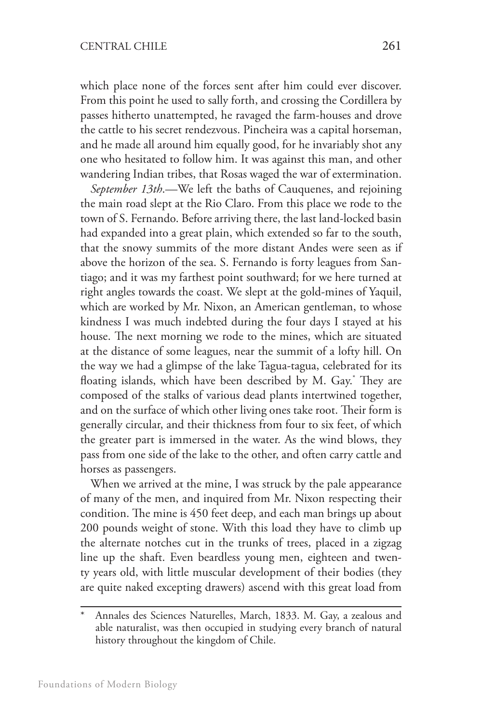which place none of the forces sent after him could ever discover. From this point he used to sally forth, and crossing the Cordillera by passes hitherto unattempted, he ravaged the farm-houses and drove the cattle to his secret rendezvous. Pincheira was a capital horseman, and he made all around him equally good, for he invariably shot any one who hesitated to follow him. It was against this man, and other wandering Indian tribes, that Rosas waged the war of extermination.

*September 13th*.—We left the baths of Cauquenes, and rejoining the main road slept at the Rio Claro. From this place we rode to the town of S. Fernando. Before arriving there, the last land-locked basin had expanded into a great plain, which extended so far to the south, that the snowy summits of the more distant Andes were seen as if above the horizon of the sea. S. Fernando is forty leagues from Santiago; and it was my farthest point southward; for we here turned at right angles towards the coast. We slept at the gold-mines of Yaquil, which are worked by Mr. Nixon, an American gentleman, to whose kindness I was much indebted during the four days I stayed at his house. The next morning we rode to the mines, which are situated at the distance of some leagues, near the summit of a lofty hill. On the way we had a glimpse of the lake Tagua-tagua, celebrated for its floating islands, which have been described by M. Gay.\* They are composed of the stalks of various dead plants intertwined together, and on the surface of which other living ones take root. Their form is generally circular, and their thickness from four to six feet, of which the greater part is immersed in the water. As the wind blows, they pass from one side of the lake to the other, and often carry cattle and horses as passengers.

When we arrived at the mine, I was struck by the pale appearance of many of the men, and inquired from Mr. Nixon respecting their condition. The mine is 450 feet deep, and each man brings up about 200 pounds weight of stone. With this load they have to climb up the alternate notches cut in the trunks of trees, placed in a zigzag line up the shaft. Even beardless young men, eighteen and twenty years old, with little muscular development of their bodies (they are quite naked excepting drawers) ascend with this great load from

Annales des Sciences Naturelles, March, 1833. M. Gay, a zealous and able naturalist, was then occupied in studying every branch of natural history throughout the kingdom of Chile.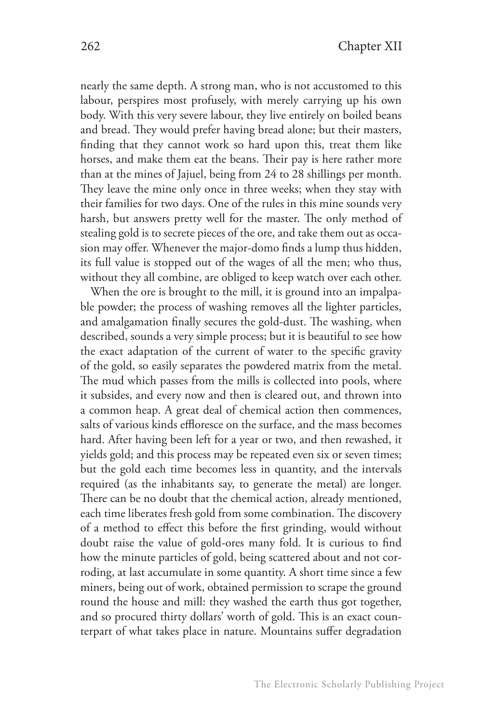nearly the same depth. A strong man, who is not accustomed to this labour, perspires most profusely, with merely carrying up his own body. With this very severe labour, they live entirely on boiled beans and bread. They would prefer having bread alone; but their masters, finding that they cannot work so hard upon this, treat them like horses, and make them eat the beans. Their pay is here rather more than at the mines of Jajuel, being from 24 to 28 shillings per month. They leave the mine only once in three weeks; when they stay with their families for two days. One of the rules in this mine sounds very harsh, but answers pretty well for the master. The only method of stealing gold is to secrete pieces of the ore, and take them out as occasion may offer. Whenever the major-domo finds a lump thus hidden, its full value is stopped out of the wages of all the men; who thus, without they all combine, are obliged to keep watch over each other.

When the ore is brought to the mill, it is ground into an impalpable powder; the process of washing removes all the lighter particles, and amalgamation finally secures the gold-dust. The washing, when described, sounds a very simple process; but it is beautiful to see how the exact adaptation of the current of water to the specific gravity of the gold, so easily separates the powdered matrix from the metal. The mud which passes from the mills is collected into pools, where it subsides, and every now and then is cleared out, and thrown into a common heap. A great deal of chemical action then commences, salts of various kinds effloresce on the surface, and the mass becomes hard. After having been left for a year or two, and then rewashed, it yields gold; and this process may be repeated even six or seven times; but the gold each time becomes less in quantity, and the intervals required (as the inhabitants say, to generate the metal) are longer. There can be no doubt that the chemical action, already mentioned, each time liberates fresh gold from some combination. The discovery of a method to effect this before the first grinding, would without doubt raise the value of gold-ores many fold. It is curious to find how the minute particles of gold, being scattered about and not corroding, at last accumulate in some quantity. A short time since a few miners, being out of work, obtained permission to scrape the ground round the house and mill: they washed the earth thus got together, and so procured thirty dollars' worth of gold. This is an exact counterpart of what takes place in nature. Mountains suffer degradation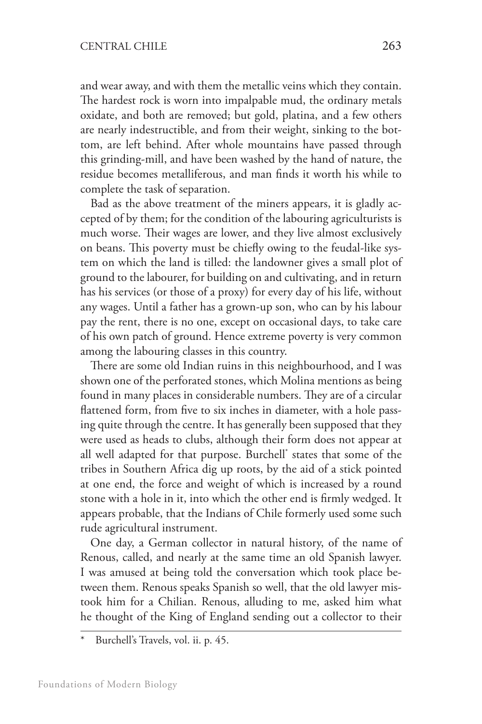and wear away, and with them the metallic veins which they contain. The hardest rock is worn into impalpable mud, the ordinary metals oxidate, and both are removed; but gold, platina, and a few others are nearly indestructible, and from their weight, sinking to the bottom, are left behind. After whole mountains have passed through this grinding-mill, and have been washed by the hand of nature, the residue becomes metalliferous, and man finds it worth his while to complete the task of separation.

Bad as the above treatment of the miners appears, it is gladly accepted of by them; for the condition of the labouring agriculturists is much worse. Their wages are lower, and they live almost exclusively on beans. This poverty must be chiefly owing to the feudal-like system on which the land is tilled: the landowner gives a small plot of ground to the labourer, for building on and cultivating, and in return has his services (or those of a proxy) for every day of his life, without any wages. Until a father has a grown-up son, who can by his labour pay the rent, there is no one, except on occasional days, to take care of his own patch of ground. Hence extreme poverty is very common among the labouring classes in this country.

There are some old Indian ruins in this neighbourhood, and I was shown one of the perforated stones, which Molina mentions as being found in many places in considerable numbers. They are of a circular flattened form, from five to six inches in diameter, with a hole passing quite through the centre. It has generally been supposed that they were used as heads to clubs, although their form does not appear at all well adapted for that purpose. Burchell\* states that some of the tribes in Southern Africa dig up roots, by the aid of a stick pointed at one end, the force and weight of which is increased by a round stone with a hole in it, into which the other end is firmly wedged. It appears probable, that the Indians of Chile formerly used some such rude agricultural instrument.

One day, a German collector in natural history, of the name of Renous, called, and nearly at the same time an old Spanish lawyer. I was amused at being told the conversation which took place between them. Renous speaks Spanish so well, that the old lawyer mistook him for a Chilian. Renous, alluding to me, asked him what he thought of the King of England sending out a collector to their

Burchell's Travels, vol. ii. p. 45.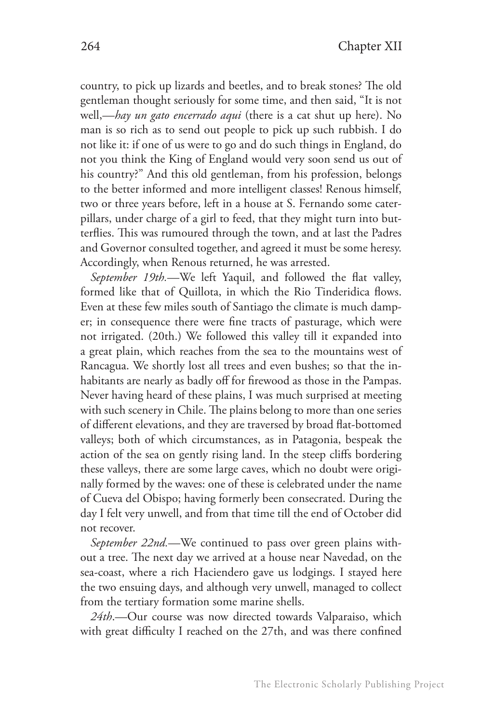country, to pick up lizards and beetles, and to break stones? The old gentleman thought seriously for some time, and then said, "It is not well,—*hay un gato encerrado aqui* (there is a cat shut up here). No man is so rich as to send out people to pick up such rubbish. I do not like it: if one of us were to go and do such things in England, do not you think the King of England would very soon send us out of his country?" And this old gentleman, from his profession, belongs to the better informed and more intelligent classes! Renous himself, two or three years before, left in a house at S. Fernando some caterpillars, under charge of a girl to feed, that they might turn into butterflies. This was rumoured through the town, and at last the Padres and Governor consulted together, and agreed it must be some heresy. Accordingly, when Renous returned, he was arrested.

*September 19th.*—We left Yaquil, and followed the flat valley, formed like that of Quillota, in which the Rio Tinderidica flows. Even at these few miles south of Santiago the climate is much damper; in consequence there were fine tracts of pasturage, which were not irrigated. (20th.) We followed this valley till it expanded into a great plain, which reaches from the sea to the mountains west of Rancagua. We shortly lost all trees and even bushes; so that the inhabitants are nearly as badly off for firewood as those in the Pampas. Never having heard of these plains, I was much surprised at meeting with such scenery in Chile. The plains belong to more than one series of different elevations, and they are traversed by broad flat-bottomed valleys; both of which circumstances, as in Patagonia, bespeak the action of the sea on gently rising land. In the steep cliffs bordering these valleys, there are some large caves, which no doubt were originally formed by the waves: one of these is celebrated under the name of Cueva del Obispo; having formerly been consecrated. During the day I felt very unwell, and from that time till the end of October did not recover.

*September 22nd.*—We continued to pass over green plains without a tree. The next day we arrived at a house near Navedad, on the sea-coast, where a rich Haciendero gave us lodgings. I stayed here the two ensuing days, and although very unwell, managed to collect from the tertiary formation some marine shells.

*24th*.—Our course was now directed towards Valparaiso, which with great difficulty I reached on the 27th, and was there confined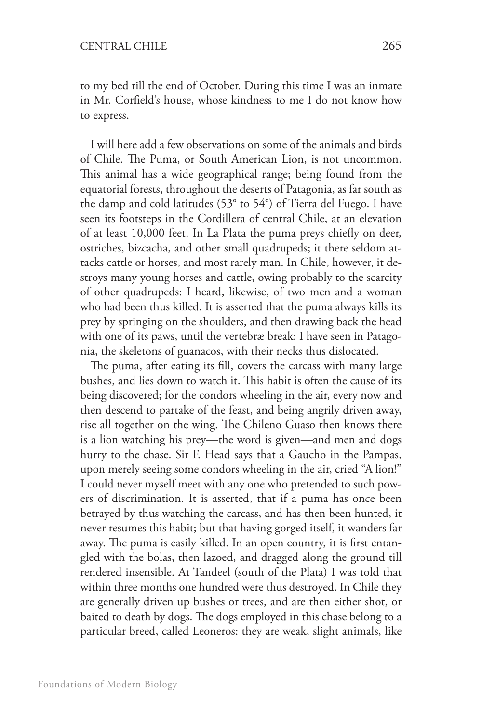to my bed till the end of October. During this time I was an inmate in Mr. Corfield's house, whose kindness to me I do not know how to express.

I will here add a few observations on some of the animals and birds of Chile. The Puma, or South American Lion, is not uncommon. This animal has a wide geographical range; being found from the equatorial forests, throughout the deserts of Patagonia, as far south as the damp and cold latitudes (53° to 54°) of Tierra del Fuego. I have seen its footsteps in the Cordillera of central Chile, at an elevation of at least 10,000 feet. In La Plata the puma preys chiefly on deer, ostriches, bizcacha, and other small quadrupeds; it there seldom attacks cattle or horses, and most rarely man. In Chile, however, it destroys many young horses and cattle, owing probably to the scarcity of other quadrupeds: I heard, likewise, of two men and a woman who had been thus killed. It is asserted that the puma always kills its prey by springing on the shoulders, and then drawing back the head with one of its paws, until the vertebræ break: I have seen in Patagonia, the skeletons of guanacos, with their necks thus dislocated.

The puma, after eating its fill, covers the carcass with many large bushes, and lies down to watch it. This habit is often the cause of its being discovered; for the condors wheeling in the air, every now and then descend to partake of the feast, and being angrily driven away, rise all together on the wing. The Chileno Guaso then knows there is a lion watching his prey—the word is given—and men and dogs hurry to the chase. Sir F. Head says that a Gaucho in the Pampas, upon merely seeing some condors wheeling in the air, cried "A lion!" I could never myself meet with any one who pretended to such powers of discrimination. It is asserted, that if a puma has once been betrayed by thus watching the carcass, and has then been hunted, it never resumes this habit; but that having gorged itself, it wanders far away. The puma is easily killed. In an open country, it is first entangled with the bolas, then lazoed, and dragged along the ground till rendered insensible. At Tandeel (south of the Plata) I was told that within three months one hundred were thus destroyed. In Chile they are generally driven up bushes or trees, and are then either shot, or baited to death by dogs. The dogs employed in this chase belong to a particular breed, called Leoneros: they are weak, slight animals, like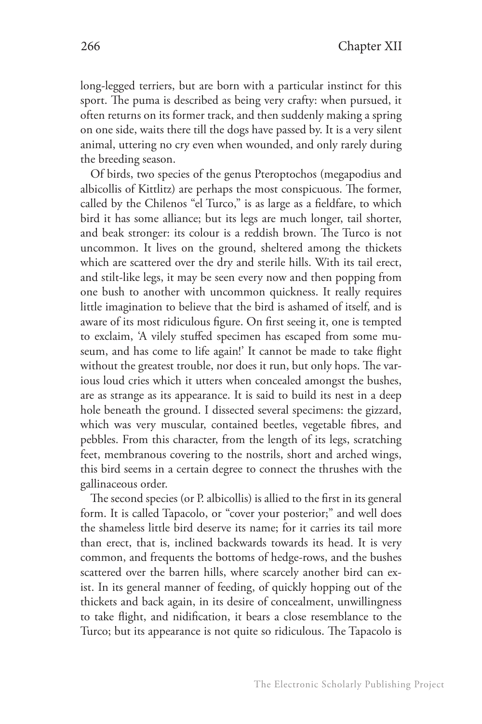long-legged terriers, but are born with a particular instinct for this sport. The puma is described as being very crafty: when pursued, it often returns on its former track, and then suddenly making a spring on one side, waits there till the dogs have passed by. It is a very silent animal, uttering no cry even when wounded, and only rarely during the breeding season.

Of birds, two species of the genus Pteroptochos (megapodius and albicollis of Kittlitz) are perhaps the most conspicuous. The former, called by the Chilenos "el Turco," is as large as a fieldfare, to which bird it has some alliance; but its legs are much longer, tail shorter, and beak stronger: its colour is a reddish brown. The Turco is not uncommon. It lives on the ground, sheltered among the thickets which are scattered over the dry and sterile hills. With its tail erect, and stilt-like legs, it may be seen every now and then popping from one bush to another with uncommon quickness. It really requires little imagination to believe that the bird is ashamed of itself, and is aware of its most ridiculous figure. On first seeing it, one is tempted to exclaim, 'A vilely stuffed specimen has escaped from some museum, and has come to life again!' It cannot be made to take flight without the greatest trouble, nor does it run, but only hops. The various loud cries which it utters when concealed amongst the bushes, are as strange as its appearance. It is said to build its nest in a deep hole beneath the ground. I dissected several specimens: the gizzard, which was very muscular, contained beetles, vegetable fibres, and pebbles. From this character, from the length of its legs, scratching feet, membranous covering to the nostrils, short and arched wings, this bird seems in a certain degree to connect the thrushes with the gallinaceous order.

The second species (or P. albicollis) is allied to the first in its general form. It is called Tapacolo, or "cover your posterior;" and well does the shameless little bird deserve its name; for it carries its tail more than erect, that is, inclined backwards towards its head. It is very common, and frequents the bottoms of hedge-rows, and the bushes scattered over the barren hills, where scarcely another bird can exist. In its general manner of feeding, of quickly hopping out of the thickets and back again, in its desire of concealment, unwillingness to take flight, and nidification, it bears a close resemblance to the Turco; but its appearance is not quite so ridiculous. The Tapacolo is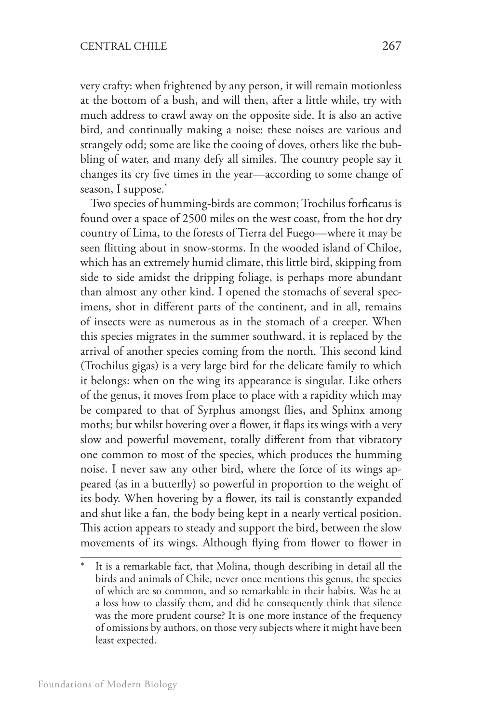very crafty: when frightened by any person, it will remain motionless at the bottom of a bush, and will then, after a little while, try with much address to crawl away on the opposite side. It is also an active bird, and continually making a noise: these noises are various and strangely odd; some are like the cooing of doves, others like the bubbling of water, and many defy all similes. The country people say it changes its cry five times in the year—according to some change of season, I suppose.<sup>\*</sup>

Two species of humming-birds are common; Trochilus forficatus is found over a space of 2500 miles on the west coast, from the hot dry country of Lima, to the forests of Tierra del Fuego—where it may be seen flitting about in snow-storms. In the wooded island of Chiloe, which has an extremely humid climate, this little bird, skipping from side to side amidst the dripping foliage, is perhaps more abundant than almost any other kind. I opened the stomachs of several specimens, shot in different parts of the continent, and in all, remains of insects were as numerous as in the stomach of a creeper. When this species migrates in the summer southward, it is replaced by the arrival of another species coming from the north. This second kind (Trochilus gigas) is a very large bird for the delicate family to which it belongs: when on the wing its appearance is singular. Like others of the genus, it moves from place to place with a rapidity which may be compared to that of Syrphus amongst flies, and Sphinx among moths; but whilst hovering over a flower, it flaps its wings with a very slow and powerful movement, totally different from that vibratory one common to most of the species, which produces the humming noise. I never saw any other bird, where the force of its wings appeared (as in a butterfly) so powerful in proportion to the weight of its body. When hovering by a flower, its tail is constantly expanded and shut like a fan, the body being kept in a nearly vertical position. This action appears to steady and support the bird, between the slow movements of its wings. Although flying from flower to flower in

It is a remarkable fact, that Molina, though describing in detail all the birds and animals of Chile, never once mentions this genus, the species of which are so common, and so remarkable in their habits. Was he at a loss how to classify them, and did he consequently think that silence was the more prudent course? It is one more instance of the frequency of omissions by authors, on those very subjects where it might have been least expected.